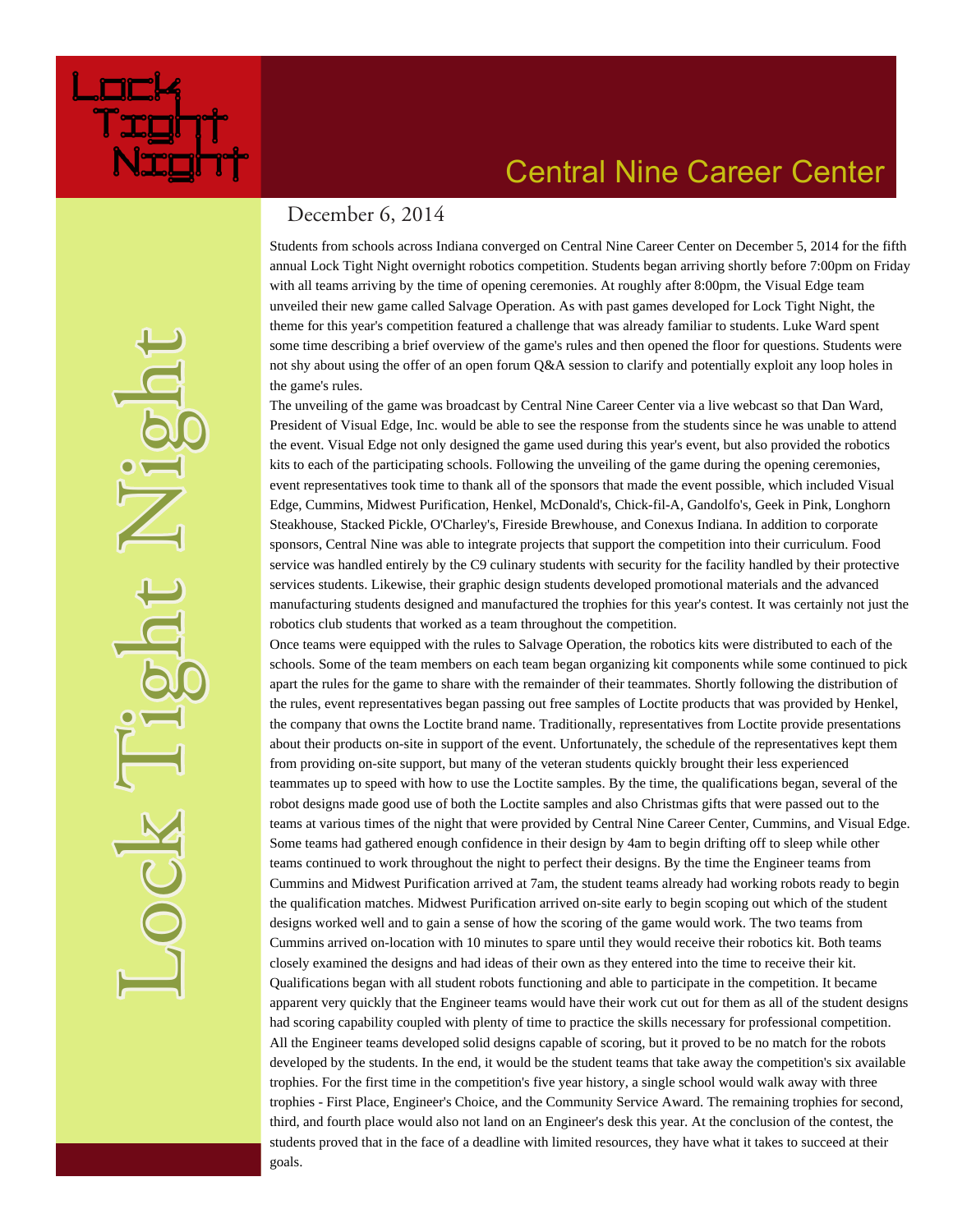

# **Central Nine Career Center**

#### December 6, 2014

Students from schools across Indiana converged on Central Nine Career Center on December 5, 2014 for the fifth annual Lock Tight Night overnight robotics competition. Students began arriving shortly before 7:00pm on Friday with all teams arriving by the time of opening ceremonies. At roughly after 8:00pm, the Visual Edge team unveiled their new game called Salvage Operation. As with past games developed for Lock Tight Night, the theme for this year's competition featured a challenge that was already familiar to students. Luke Ward spent some time describing a brief overview of the game's rules and then opened the floor for questions. Students were not shy about using the offer of an open forum O&A session to clarify and potentially exploit any loop holes in the game's rules.

The unveiling of the game was broadcast by Central Nine Career Center via a live webcast so that Dan Ward, President of Visual Edge, Inc. would be able to see the response from the students since he was unable to attend the event. Visual Edge not only designed the game used during this year's event, but also provided the robotics kits to each of the participating schools. Following the unveiling of the game during the opening ceremonies, event representatives took time to thank all of the sponsors that made the event possible, which included Visual Edge, Cummins, Midwest Purification, Henkel, McDonald's, Chick-fil-A, Gandolfo's, Geek in Pink, Longhorn Steakhouse, Stacked Pickle, O'Charley's, Fireside Brewhouse, and Conexus Indiana. In addition to corporate sponsors, Central Nine was able to integrate projects that support the competition into their curriculum. Food service was handled entirely by the C9 culinary students with security for the facility handled by their protective services students. Likewise, their graphic design students developed promotional materials and the advanced manufacturing students designed and manufactured the trophies for this year's contest. It was certainly not just the robotics club students that worked as a team throughout the competition.

Once teams were equipped with the rules to Salvage Operation, the robotics kits were distributed to each of the schools. Some of the team members on each team began organizing kit components while some continued to pick apart the rules for the game to share with the remainder of their teammates. Shortly following the distribution of the rules, event representatives began passing out free samples of Loctite products that was provided by Henkel, the company that owns the Loctite brand name. Traditionally, representatives from Loctite provide presentations about their products on-site in support of the event. Unfortunately, the schedule of the representatives kept them from providing on-site support, but many of the veteran students quickly brought their less experienced teammates up to speed with how to use the Loctite samples. By the time, the qualifications began, several of the robot designs made good use of both the Loctite samples and also Christmas gifts that were passed out to the teams at various times of the night that were provided by Central Nine Career Center, Cummins, and Visual Edge. Some teams had gathered enough confidence in their design by 4am to begin drifting off to sleep while other teams continued to work throughout the night to perfect their designs. By the time the Engineer teams from Cummins and Midwest Purification arrived at 7am, the student teams already had working robots ready to begin the qualification matches. Midwest Purification arrived on-site early to begin scoping out which of the student designs worked well and to gain a sense of how the scoring of the game would work. The two teams from Cummins arrived on-location with 10 minutes to spare until they would receive their robotics kit. Both teams closely examined the designs and had ideas of their own as they entered into the time to receive their kit. Qualifications began with all student robots functioning and able to participate in the competition. It became apparent very quickly that the Engineer teams would have their work cut out for them as all of the student designs had scoring capability coupled with plenty of time to practice the skills necessary for professional competition. All the Engineer teams developed solid designs capable of scoring, but it proved to be no match for the robots developed by the students. In the end, it would be the student teams that take away the competition's six available trophies. For the first time in the competition's five year history, a single school would walk away with three trophies - First Place, Engineer's Choice, and the Community Service Award. The remaining trophies for second, third, and fourth place would also not land on an Engineer's desk this year. At the conclusion of the contest, the students proved that in the face of a deadline with limited resources, they have what it takes to succeed at their goals.